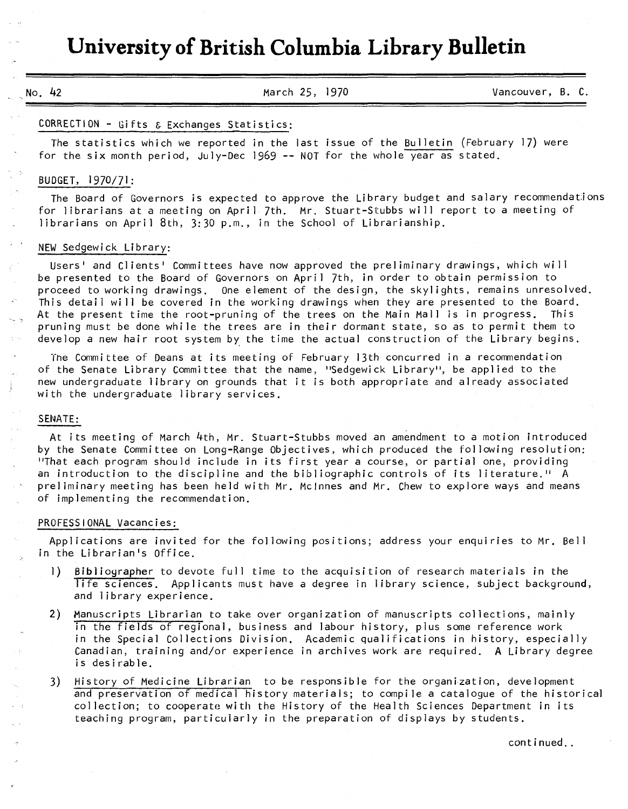# **University of British Columbia Library Bulletin**

No. 42 March 25, 1970 Vancouver, B. C.

#### CORRECTION - Gifts & Exchanges Statistics:

The statistics which we reported in the last issue of the Bu1letin (February 17) were for the six month period, July-Dec 1969 -- NOT for the whole year as stated.

# BUDGET, 1970/71:

The Board of Governors is expected to approve the Library budget and salary recommendations for librarians at a meeting on April 7th. Mr. Stuart-Stubbs will report to a meeting of librarians on April 8th, 3:30 p.m., in the School of Librarianship.

# NEW Sedgewick Library:

Users' and Clients' Committees have now approved the preliminary drawings, which will be presented to the Board of Governors on April 7th, in order to obtain permission to proceed to working drawings. One element of the design, the skylights, remains unresolved. This detail will be covered in the working drawings when they are presented to the Board. At the present time the root-pruning of the trees on the Main Mall is in progress. This pruning must be done while the trees are in their dormant state, so as to permit them to develop a new hair root system by the time the actual construction of the Library begins.

Tne Committee of Deans at its meeting of February 13th concurred in a recommendation of the Senate Library Committee that the name, "Sedgewick Library", be applied to the new undergraduate library on grounds that it is both appropriate and already associated with the undergraduate library services.

### SENATE:

At its meeting of March 4th, Mr. Stuart-Stubbs moved an amendment to a motion introduced by the Senate Committee on Long-Range Objectives, which produced the following resolution: "That each program should include in its first year a course, or partial one, providing an introduction to the discipline and the bibliographic controls of its literature." A preliminary meeting has been held with Mr. Mclnnes and Mr. Chew to explore ways and means of implementing the recommendation.

#### PROFESSIONAL Vacancies;

Applications are invited for the following positions; address your enquiries to Mr. Bell in the Librarian's Office.

- 1) Bibliographer to devote full time to the acquisition of research materials in the life sciences. Applicants must have a degree in library science, subject background, and library experience.
- 2) Manuscripts Librarian to take over organization of manuscripts collections, mainly in the fields of regional, business and labour history, plus some reference work in the Special Collections Division. Academic qualifications in history, especially Canadian, training and/or experience in archives work are required. A Library degree is desirable.
- 3) History of Medicine Librarian to be responsible for the organization, development and preservation of medical history materials; to compile a catalogue of the historical collection; to cooperate with the History of the Health Sciences Department in its teaching program, particularly in the preparation of displays by students.

continued..